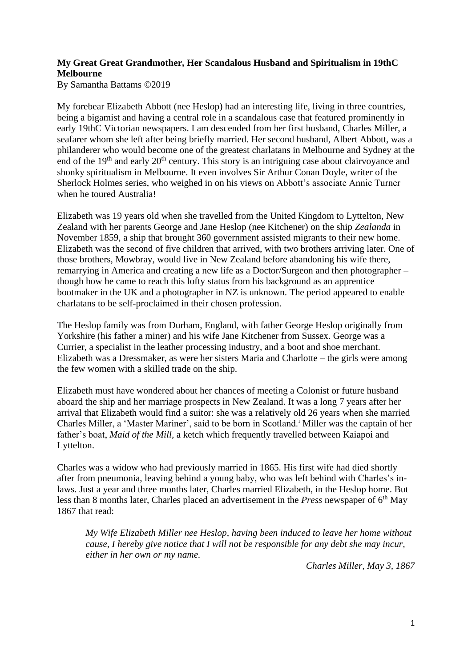## **My Great Great Grandmother, Her Scandalous Husband and Spiritualism in 19thC Melbourne**

By Samantha Battams ©2019

My forebear Elizabeth Abbott (nee Heslop) had an interesting life, living in three countries, being a bigamist and having a central role in a scandalous case that featured prominently in early 19thC Victorian newspapers. I am descended from her first husband, Charles Miller, a seafarer whom she left after being briefly married. Her second husband, Albert Abbott, was a philanderer who would become one of the greatest charlatans in Melbourne and Sydney at the end of the  $19<sup>th</sup>$  and early  $20<sup>th</sup>$  century. This story is an intriguing case about clairvoyance and shonky spiritualism in Melbourne. It even involves Sir Arthur Conan Doyle, writer of the Sherlock Holmes series, who weighed in on his views on Abbott's associate Annie Turner when he toured Australia!

Elizabeth was 19 years old when she travelled from the United Kingdom to Lyttelton, New Zealand with her parents George and Jane Heslop (nee Kitchener) on the ship *Zealanda* in November 1859, a ship that brought 360 government assisted migrants to their new home. Elizabeth was the second of five children that arrived, with two brothers arriving later. One of those brothers, Mowbray, would live in New Zealand before abandoning his wife there, remarrying in America and creating a new life as a Doctor/Surgeon and then photographer – though how he came to reach this lofty status from his background as an apprentice bootmaker in the UK and a photographer in NZ is unknown. The period appeared to enable charlatans to be self-proclaimed in their chosen profession.

The Heslop family was from Durham, England, with father George Heslop originally from Yorkshire (his father a miner) and his wife Jane Kitchener from Sussex. George was a Currier, a specialist in the leather processing industry, and a boot and shoe merchant. Elizabeth was a Dressmaker, as were her sisters Maria and Charlotte – the girls were among the few women with a skilled trade on the ship.

Elizabeth must have wondered about her chances of meeting a Colonist or future husband aboard the ship and her marriage prospects in New Zealand. It was a long 7 years after her arrival that Elizabeth would find a suitor: she was a relatively old 26 years when she married Charles Miller, a 'Master Mariner', said to be born in Scotland.<sup>i</sup> Miller was the captain of her father's boat, *Maid of the Mill,* a ketch which frequently travelled between Kaiapoi and Lyttelton.

Charles was a widow who had previously married in 1865. His first wife had died shortly after from pneumonia, leaving behind a young baby, who was left behind with Charles's inlaws. Just a year and three months later, Charles married Elizabeth, in the Heslop home. But less than 8 months later, Charles placed an advertisement in the *Press* newspaper of 6<sup>th</sup> May 1867 that read:

*My Wife Elizabeth Miller nee Heslop, having been induced to leave her home without cause, I hereby give notice that I will not be responsible for any debt she may incur, either in her own or my name.* 

*Charles Miller, May 3, 1867*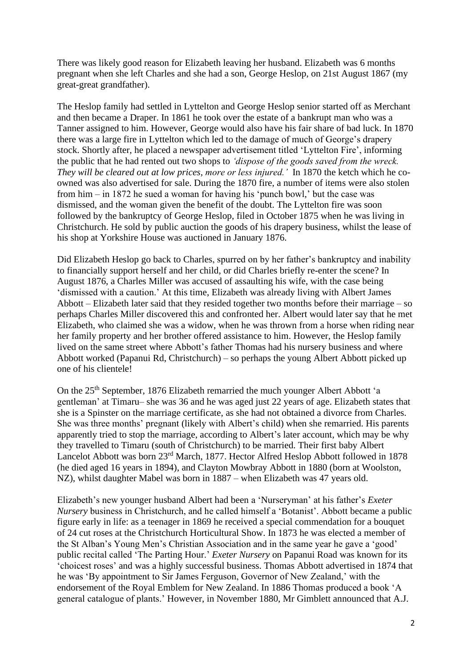There was likely good reason for Elizabeth leaving her husband. Elizabeth was 6 months pregnant when she left Charles and she had a son, George Heslop, on 21st August 1867 (my great-great grandfather).

The Heslop family had settled in Lyttelton and George Heslop senior started off as Merchant and then became a Draper. In 1861 he took over the estate of a bankrupt man who was a Tanner assigned to him. However, George would also have his fair share of bad luck. In 1870 there was a large fire in Lyttelton which led to the damage of much of George's drapery stock. Shortly after, he placed a newspaper advertisement titled 'Lyttelton Fire', informing the public that he had rented out two shops to *'dispose of the goods saved from the wreck. They will be cleared out at low prices, more or less injured.'* In 1870 the ketch which he coowned was also advertised for sale. During the 1870 fire, a number of items were also stolen from him – in 1872 he sued a woman for having his 'punch bowl,' but the case was dismissed, and the woman given the benefit of the doubt. The Lyttelton fire was soon followed by the bankruptcy of George Heslop, filed in October 1875 when he was living in Christchurch. He sold by public auction the goods of his drapery business, whilst the lease of his shop at Yorkshire House was auctioned in January 1876.

Did Elizabeth Heslop go back to Charles, spurred on by her father's bankruptcy and inability to financially support herself and her child, or did Charles briefly re-enter the scene? In August 1876, a Charles Miller was accused of assaulting his wife, with the case being 'dismissed with a caution.' At this time, Elizabeth was already living with Albert James Abbott – Elizabeth later said that they resided together two months before their marriage – so perhaps Charles Miller discovered this and confronted her. Albert would later say that he met Elizabeth, who claimed she was a widow, when he was thrown from a horse when riding near her family property and her brother offered assistance to him. However, the Heslop family lived on the same street where Abbott's father Thomas had his nursery business and where Abbott worked (Papanui Rd, Christchurch) – so perhaps the young Albert Abbott picked up one of his clientele!

On the 25<sup>th</sup> September, 1876 Elizabeth remarried the much younger Albert Abbott 'a gentleman' at Timaru– she was 36 and he was aged just 22 years of age. Elizabeth states that she is a Spinster on the marriage certificate, as she had not obtained a divorce from Charles. She was three months' pregnant (likely with Albert's child) when she remarried. His parents apparently tried to stop the marriage, according to Albert's later account, which may be why they travelled to Timaru (south of Christchurch) to be married. Their first baby Albert Lancelot Abbott was born 23rd March, 1877. Hector Alfred Heslop Abbott followed in 1878 (he died aged 16 years in 1894), and Clayton Mowbray Abbott in 1880 (born at Woolston, NZ), whilst daughter Mabel was born in 1887 – when Elizabeth was 47 years old.

Elizabeth's new younger husband Albert had been a 'Nurseryman' at his father's *Exeter Nursery* business in Christchurch, and he called himself a 'Botanist'. Abbott became a public figure early in life: as a teenager in 1869 he received a special commendation for a bouquet of 24 cut roses at the Christchurch Horticultural Show. In 1873 he was elected a member of the St Alban's Young Men's Christian Association and in the same year he gave a 'good' public recital called 'The Parting Hour.' *Exeter Nursery* on Papanui Road was known for its 'choicest roses' and was a highly successful business. Thomas Abbott advertised in 1874 that he was 'By appointment to Sir James Ferguson, Governor of New Zealand,' with the endorsement of the Royal Emblem for New Zealand. In 1886 Thomas produced a book 'A general catalogue of plants.' However, in November 1880, Mr Gimblett announced that A.J.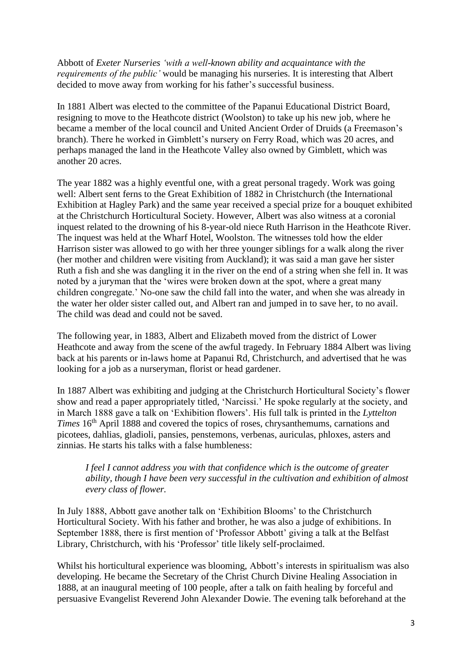Abbott of *Exeter Nurseries 'with a well-known ability and acquaintance with the requirements of the public'* would be managing his nurseries. It is interesting that Albert decided to move away from working for his father's successful business.

In 1881 Albert was elected to the committee of the Papanui Educational District Board, resigning to move to the Heathcote district (Woolston) to take up his new job, where he became a member of the local council and United Ancient Order of Druids (a Freemason's branch). There he worked in Gimblett's nursery on Ferry Road, which was 20 acres, and perhaps managed the land in the Heathcote Valley also owned by Gimblett, which was another 20 acres.

The year 1882 was a highly eventful one, with a great personal tragedy. Work was going well: Albert sent ferns to the Great Exhibition of 1882 in Christchurch (the International Exhibition at Hagley Park) and the same year received a special prize for a bouquet exhibited at the Christchurch Horticultural Society. However, Albert was also witness at a coronial inquest related to the drowning of his 8-year-old niece Ruth Harrison in the Heathcote River. The inquest was held at the Wharf Hotel, Woolston. The witnesses told how the elder Harrison sister was allowed to go with her three younger siblings for a walk along the river (her mother and children were visiting from Auckland); it was said a man gave her sister Ruth a fish and she was dangling it in the river on the end of a string when she fell in. It was noted by a juryman that the 'wires were broken down at the spot, where a great many children congregate.' No-one saw the child fall into the water, and when she was already in the water her older sister called out, and Albert ran and jumped in to save her, to no avail. The child was dead and could not be saved.

The following year, in 1883, Albert and Elizabeth moved from the district of Lower Heathcote and away from the scene of the awful tragedy. In February 1884 Albert was living back at his parents or in-laws home at Papanui Rd, Christchurch, and advertised that he was looking for a job as a nurseryman, florist or head gardener.

In 1887 Albert was exhibiting and judging at the Christchurch Horticultural Society's flower show and read a paper appropriately titled, 'Narcissi.' He spoke regularly at the society, and in March 1888 gave a talk on 'Exhibition flowers'. His full talk is printed in the *Lyttelton Times* 16<sup>th</sup> April 1888 and covered the topics of roses, chrysanthemums, carnations and picotees, dahlias, gladioli, pansies, penstemons, verbenas, auriculas, phloxes, asters and zinnias. He starts his talks with a false humbleness:

## *I feel I cannot address you with that confidence which is the outcome of greater ability, though I have been very successful in the cultivation and exhibition of almost every class of flower.*

In July 1888, Abbott gave another talk on 'Exhibition Blooms' to the Christchurch Horticultural Society. With his father and brother, he was also a judge of exhibitions. In September 1888, there is first mention of 'Professor Abbott' giving a talk at the Belfast Library, Christchurch, with his 'Professor' title likely self-proclaimed.

Whilst his horticultural experience was blooming, Abbott's interests in spiritualism was also developing. He became the Secretary of the Christ Church Divine Healing Association in 1888, at an inaugural meeting of 100 people, after a talk on faith healing by forceful and persuasive Evangelist Reverend John Alexander Dowie. The evening talk beforehand at the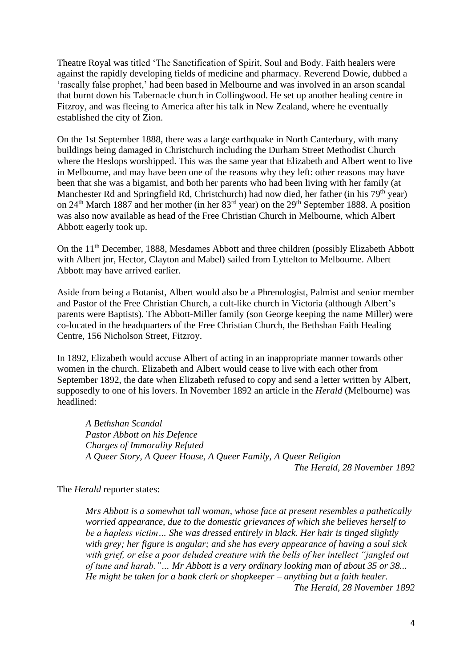Theatre Royal was titled 'The Sanctification of Spirit, Soul and Body. Faith healers were against the rapidly developing fields of medicine and pharmacy. Reverend Dowie, dubbed a 'rascally false prophet,' had been based in Melbourne and was involved in an arson scandal that burnt down his Tabernacle church in Collingwood. He set up another healing centre in Fitzroy, and was fleeing to America after his talk in New Zealand, where he eventually established the city of Zion.

On the 1st September 1888, there was a large earthquake in North Canterbury, with many buildings being damaged in Christchurch including the Durham Street Methodist Church where the Heslops worshipped. This was the same year that Elizabeth and Albert went to live in Melbourne, and may have been one of the reasons why they left: other reasons may have been that she was a bigamist, and both her parents who had been living with her family (at Manchester Rd and Springfield Rd, Christchurch) had now died, her father (in his 79<sup>th</sup> year) on 24<sup>th</sup> March 1887 and her mother (in her 83<sup>rd</sup> year) on the 29<sup>th</sup> September 1888. A position was also now available as head of the Free Christian Church in Melbourne, which Albert Abbott eagerly took up.

On the 11th December, 1888, Mesdames Abbott and three children (possibly Elizabeth Abbott with Albert jnr, Hector, Clayton and Mabel) sailed from Lyttelton to Melbourne. Albert Abbott may have arrived earlier.

Aside from being a Botanist, Albert would also be a Phrenologist, Palmist and senior member and Pastor of the Free Christian Church, a cult-like church in Victoria (although Albert's parents were Baptists). The Abbott-Miller family (son George keeping the name Miller) were co-located in the headquarters of the Free Christian Church, the Bethshan Faith Healing Centre, 156 Nicholson Street, Fitzroy.

In 1892, Elizabeth would accuse Albert of acting in an inappropriate manner towards other women in the church. Elizabeth and Albert would cease to live with each other from September 1892, the date when Elizabeth refused to copy and send a letter written by Albert, supposedly to one of his lovers. In November 1892 an article in the *Herald* (Melbourne) was headlined:

*A Bethshan Scandal Pastor Abbott on his Defence Charges of Immorality Refuted A Queer Story, A Queer House, A Queer Family, A Queer Religion*

*The Herald, 28 November 1892*

## The *Herald* reporter states:

*Mrs Abbott is a somewhat tall woman, whose face at present resembles a pathetically worried appearance, due to the domestic grievances of which she believes herself to be a hapless victim… She was dressed entirely in black. Her hair is tinged slightly with grey; her figure is angular; and she has every appearance of having a soul sick with grief, or else a poor deluded creature with the bells of her intellect "jangled out of tune and harab."… Mr Abbott is a very ordinary looking man of about 35 or 38... He might be taken for a bank clerk or shopkeeper – anything but a faith healer. The Herald, 28 November 1892*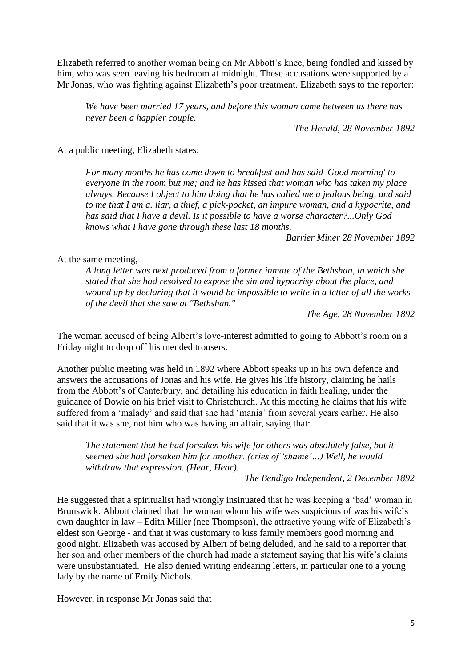Elizabeth referred to another woman being on Mr Abbott's knee, being fondled and kissed by him, who was seen leaving his bedroom at midnight. These accusations were supported by a Mr Jonas, who was fighting against Elizabeth's poor treatment. Elizabeth says to the reporter:

*We have been married 17 years, and before this woman came between us there has never been a happier couple.*

*The Herald, 28 November 1892*

At a public meeting, Elizabeth states:

*For many months he has come down to breakfast and has said 'Good morning' to everyone in the room but me; and he has kissed that woman who has taken my place always. Because I object to him doing that he has called me a jealous being, and said to me that I am a. liar, a thief, a pick-pocket, an impure woman, and a hypocrite, and has said that I have a devil. Is it possible to have a worse character?...Only God knows what I have gone through these last 18 months.*

*Barrier Miner 28 November 1892*

At the same meeting,

*A long letter was next produced from a former inmate of the Bethshan, in which she stated that she had resolved to expose the sin and hypocrisy about the place, and wound up by declaring that it would be impossible to write in a letter of all the works of the devil that she saw at "Bethshan."*

*The Age, 28 November 1892*

The woman accused of being Albert's love-interest admitted to going to Abbott's room on a Friday night to drop off his mended trousers.

Another public meeting was held in 1892 where Abbott speaks up in his own defence and answers the accusations of Jonas and his wife. He gives his life history, claiming he hails from the Abbott's of Canterbury, and detailing his education in faith healing, under the guidance of Dowie on his brief visit to Christchurch. At this meeting he claims that his wife suffered from a 'malady' and said that she had 'mania' from several years earlier. He also said that it was she, not him who was having an affair, saying that:

The statement that he had forsaken his wife for others was absolutely false, but it *seemed she had forsaken him for another. (cries of 'shame'…) Well, he would withdraw that expression. (Hear, Hear).*

*The Bendigo Independent, 2 December 1892*

He suggested that a spiritualist had wrongly insinuated that he was keeping a 'bad' woman in Brunswick. Abbott claimed that the woman whom his wife was suspicious of was his wife's own daughter in law – Edith Miller (nee Thompson), the attractive young wife of Elizabeth's eldest son George - and that it was customary to kiss family members good morning and good night. Elizabeth was accused by Albert of being deluded, and he said to a reporter that her son and other members of the church had made a statement saying that his wife's claims were unsubstantiated. He also denied writing endearing letters, in particular one to a young lady by the name of Emily Nichols.

However, in response Mr Jonas said that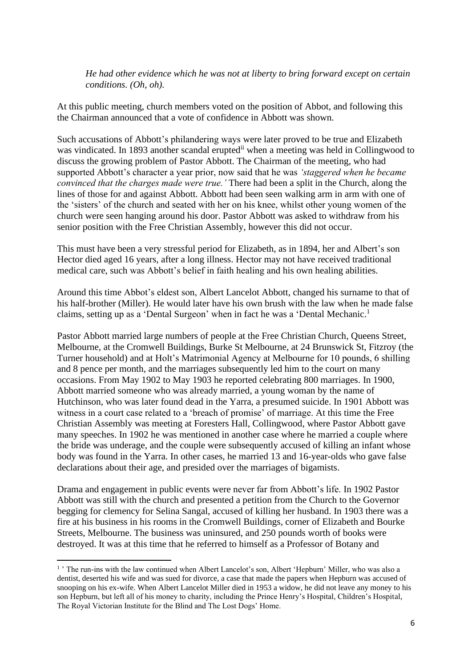*He had other evidence which he was not at liberty to bring forward except on certain conditions. (Oh, oh).*

At this public meeting, church members voted on the position of Abbot, and following this the Chairman announced that a vote of confidence in Abbott was shown.

Such accusations of Abbott's philandering ways were later proved to be true and Elizabeth was vindicated. In 1893 another scandal erupted<sup>ii</sup> when a meeting was held in Collingwood to discuss the growing problem of Pastor Abbott. The Chairman of the meeting, who had supported Abbott's character a year prior, now said that he was *'staggered when he became convinced that the charges made were true.'* There had been a split in the Church, along the lines of those for and against Abbott. Abbott had been seen walking arm in arm with one of the 'sisters' of the church and seated with her on his knee, whilst other young women of the church were seen hanging around his door. Pastor Abbott was asked to withdraw from his senior position with the Free Christian Assembly, however this did not occur.

This must have been a very stressful period for Elizabeth, as in 1894, her and Albert's son Hector died aged 16 years, after a long illness. Hector may not have received traditional medical care, such was Abbott's belief in faith healing and his own healing abilities.

Around this time Abbot's eldest son, Albert Lancelot Abbott, changed his surname to that of his half-brother (Miller). He would later have his own brush with the law when he made false claims, setting up as a 'Dental Surgeon' when in fact he was a 'Dental Mechanic. 1

Pastor Abbott married large numbers of people at the Free Christian Church, Queens Street, Melbourne, at the Cromwell Buildings, Burke St Melbourne, at 24 Brunswick St, Fitzroy (the Turner household) and at Holt's Matrimonial Agency at Melbourne for 10 pounds, 6 shilling and 8 pence per month, and the marriages subsequently led him to the court on many occasions. From May 1902 to May 1903 he reported celebrating 800 marriages. In 1900, Abbott married someone who was already married, a young woman by the name of Hutchinson, who was later found dead in the Yarra, a presumed suicide. In 1901 Abbott was witness in a court case related to a 'breach of promise' of marriage. At this time the Free Christian Assembly was meeting at Foresters Hall, Collingwood, where Pastor Abbott gave many speeches. In 1902 he was mentioned in another case where he married a couple where the bride was underage, and the couple were subsequently accused of killing an infant whose body was found in the Yarra. In other cases, he married 13 and 16-year-olds who gave false declarations about their age, and presided over the marriages of bigamists.

Drama and engagement in public events were never far from Abbott's life. In 1902 Pastor Abbott was still with the church and presented a petition from the Church to the Governor begging for clemency for Selina Sangal, accused of killing her husband. In 1903 there was a fire at his business in his rooms in the Cromwell Buildings, corner of Elizabeth and Bourke Streets, Melbourne. The business was uninsured, and 250 pounds worth of books were destroyed. It was at this time that he referred to himself as a Professor of Botany and

<sup>&</sup>lt;sup>1</sup> The run-ins with the law continued when Albert Lancelot's son, Albert 'Hepburn' Miller, who was also a dentist, deserted his wife and was sued for divorce, a case that made the papers when Hepburn was accused of snooping on his ex-wife. When Albert Lancelot Miller died in 1953 a widow, he did not leave any money to his son Hepburn, but left all of his money to charity, including the Prince Henry's Hospital, Children's Hospital, The Royal Victorian Institute for the Blind and The Lost Dogs' Home.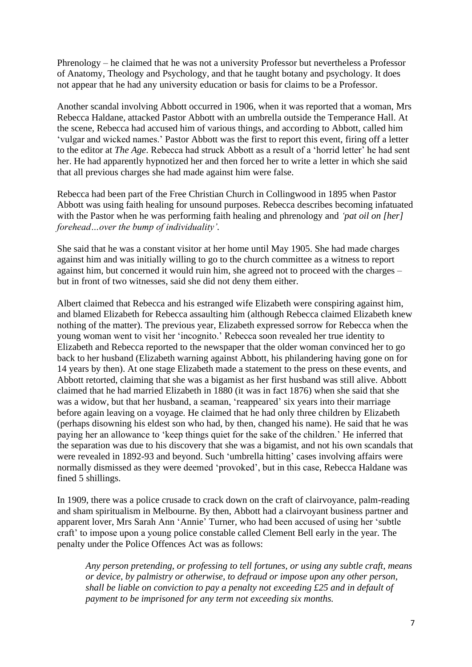Phrenology – he claimed that he was not a university Professor but nevertheless a Professor of Anatomy, Theology and Psychology, and that he taught botany and psychology. It does not appear that he had any university education or basis for claims to be a Professor.

Another scandal involving Abbott occurred in 1906, when it was reported that a woman, Mrs Rebecca Haldane, attacked Pastor Abbott with an umbrella outside the Temperance Hall. At the scene, Rebecca had accused him of various things, and according to Abbott, called him 'vulgar and wicked names.' Pastor Abbott was the first to report this event, firing off a letter to the editor at *The Age*. Rebecca had struck Abbott as a result of a 'horrid letter' he had sent her. He had apparently hypnotized her and then forced her to write a letter in which she said that all previous charges she had made against him were false.

Rebecca had been part of the Free Christian Church in Collingwood in 1895 when Pastor Abbott was using faith healing for unsound purposes. Rebecca describes becoming infatuated with the Pastor when he was performing faith healing and phrenology and *'pat oil on [her] forehead…over the bump of individuality'.* 

She said that he was a constant visitor at her home until May 1905. She had made charges against him and was initially willing to go to the church committee as a witness to report against him, but concerned it would ruin him, she agreed not to proceed with the charges – but in front of two witnesses, said she did not deny them either.

Albert claimed that Rebecca and his estranged wife Elizabeth were conspiring against him, and blamed Elizabeth for Rebecca assaulting him (although Rebecca claimed Elizabeth knew nothing of the matter). The previous year, Elizabeth expressed sorrow for Rebecca when the young woman went to visit her 'incognito.' Rebecca soon revealed her true identity to Elizabeth and Rebecca reported to the newspaper that the older woman convinced her to go back to her husband (Elizabeth warning against Abbott, his philandering having gone on for 14 years by then). At one stage Elizabeth made a statement to the press on these events, and Abbott retorted, claiming that she was a bigamist as her first husband was still alive. Abbott claimed that he had married Elizabeth in 1880 (it was in fact 1876) when she said that she was a widow, but that her husband, a seaman, 'reappeared' six years into their marriage before again leaving on a voyage. He claimed that he had only three children by Elizabeth (perhaps disowning his eldest son who had, by then, changed his name). He said that he was paying her an allowance to 'keep things quiet for the sake of the children.' He inferred that the separation was due to his discovery that she was a bigamist, and not his own scandals that were revealed in 1892-93 and beyond. Such 'umbrella hitting' cases involving affairs were normally dismissed as they were deemed 'provoked', but in this case, Rebecca Haldane was fined 5 shillings.

In 1909, there was a police crusade to crack down on the craft of clairvoyance, palm-reading and sham spiritualism in Melbourne. By then, Abbott had a clairvoyant business partner and apparent lover, Mrs Sarah Ann 'Annie' Turner, who had been accused of using her 'subtle craft' to impose upon a young police constable called Clement Bell early in the year. The penalty under the Police Offences Act was as follows:

*Any person pretending, or professing to tell fortunes, or using any subtle craft, means or device, by palmistry or otherwise, to defraud or impose upon any other person, shall be liable on conviction to pay a penalty not exceeding £25 and in default of payment to be imprisoned for any term not exceeding six months.*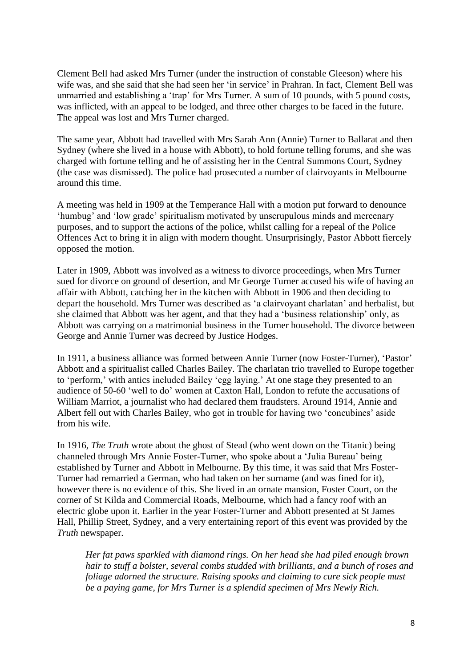Clement Bell had asked Mrs Turner (under the instruction of constable Gleeson) where his wife was, and she said that she had seen her 'in service' in Prahran. In fact, Clement Bell was unmarried and establishing a 'trap' for Mrs Turner. A sum of 10 pounds, with 5 pound costs, was inflicted, with an appeal to be lodged, and three other charges to be faced in the future. The appeal was lost and Mrs Turner charged.

The same year, Abbott had travelled with Mrs Sarah Ann (Annie) Turner to Ballarat and then Sydney (where she lived in a house with Abbott), to hold fortune telling forums, and she was charged with fortune telling and he of assisting her in the Central Summons Court, Sydney (the case was dismissed). The police had prosecuted a number of clairvoyants in Melbourne around this time.

A meeting was held in 1909 at the Temperance Hall with a motion put forward to denounce 'humbug' and 'low grade' spiritualism motivated by unscrupulous minds and mercenary purposes, and to support the actions of the police, whilst calling for a repeal of the Police Offences Act to bring it in align with modern thought. Unsurprisingly, Pastor Abbott fiercely opposed the motion.

Later in 1909, Abbott was involved as a witness to divorce proceedings, when Mrs Turner sued for divorce on ground of desertion, and Mr George Turner accused his wife of having an affair with Abbott, catching her in the kitchen with Abbott in 1906 and then deciding to depart the household. Mrs Turner was described as 'a clairvoyant charlatan' and herbalist, but she claimed that Abbott was her agent, and that they had a 'business relationship' only, as Abbott was carrying on a matrimonial business in the Turner household. The divorce between George and Annie Turner was decreed by Justice Hodges.

In 1911, a business alliance was formed between Annie Turner (now Foster-Turner), 'Pastor' Abbott and a spiritualist called Charles Bailey. The charlatan trio travelled to Europe together to 'perform,' with antics included Bailey 'egg laying.' At one stage they presented to an audience of 50-60 'well to do' women at Caxton Hall, London to refute the accusations of William Marriot, a journalist who had declared them fraudsters. Around 1914, Annie and Albert fell out with Charles Bailey, who got in trouble for having two 'concubines' aside from his wife.

In 1916, *The Truth* wrote about the ghost of Stead (who went down on the Titanic) being channeled through Mrs Annie Foster-Turner, who spoke about a 'Julia Bureau' being established by Turner and Abbott in Melbourne. By this time, it was said that Mrs Foster-Turner had remarried a German, who had taken on her surname (and was fined for it), however there is no evidence of this. She lived in an ornate mansion, Foster Court, on the corner of St Kilda and Commercial Roads, Melbourne, which had a fancy roof with an electric globe upon it. Earlier in the year Foster-Turner and Abbott presented at St James Hall, Phillip Street, Sydney, and a very entertaining report of this event was provided by the *Truth* newspaper.

*Her fat paws sparkled with diamond rings. On her head she had piled enough brown hair to stuff a bolster, several combs studded with brilliants, and a bunch of roses and foliage adorned the structure. Raising spooks and claiming to cure sick people must be a paying game, for Mrs Turner is a splendid specimen of Mrs Newly Rich.*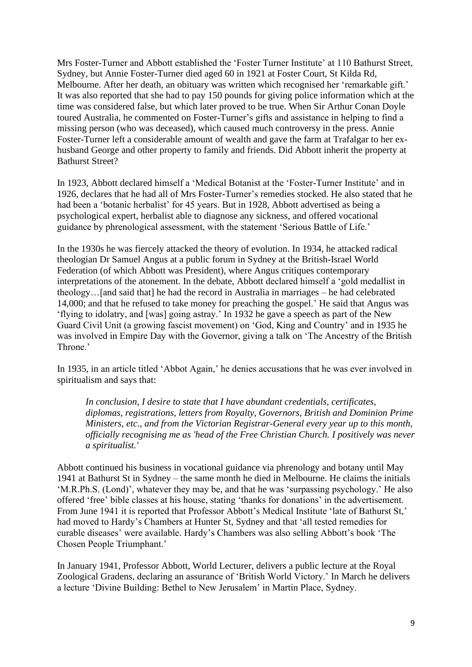Mrs Foster-Turner and Abbott established the 'Foster Turner Institute' at 110 Bathurst Street, Sydney, but Annie Foster-Turner died aged 60 in 1921 at Foster Court, St Kilda Rd, Melbourne. After her death, an obituary was written which recognised her 'remarkable gift.' It was also reported that she had to pay 150 pounds for giving police information which at the time was considered false, but which later proved to be true. When Sir Arthur Conan Doyle toured Australia, he commented on Foster-Turner's gifts and assistance in helping to find a missing person (who was deceased), which caused much controversy in the press. Annie Foster-Turner left a considerable amount of wealth and gave the farm at Trafalgar to her exhusband George and other property to family and friends. Did Abbott inherit the property at Bathurst Street?

In 1923, Abbott declared himself a 'Medical Botanist at the 'Foster-Turner Institute' and in 1926, declares that he had all of Mrs Foster-Turner's remedies stocked. He also stated that he had been a 'botanic herbalist' for 45 years. But in 1928, Abbott advertised as being a psychological expert, herbalist able to diagnose any sickness, and offered vocational guidance by phrenological assessment, with the statement 'Serious Battle of Life.'

In the 1930s he was fiercely attacked the theory of evolution. In 1934, he attacked radical theologian Dr Samuel Angus at a public forum in Sydney at the British-Israel World Federation (of which Abbott was President), where Angus critiques contemporary interpretations of the atonement. In the debate, Abbott declared himself a 'gold medallist in theology…[and said that] he had the record in Australia in marriages – he had celebrated 14,000; and that he refused to take money for preaching the gospel.' He said that Angus was 'flying to idolatry, and [was] going astray.' In 1932 he gave a speech as part of the New Guard Civil Unit (a growing fascist movement) on 'God, King and Country' and in 1935 he was involved in Empire Day with the Governor, giving a talk on 'The Ancestry of the British Throne.'

In 1935, in an article titled 'Abbot Again,' he denies accusations that he was ever involved in spiritualism and says that:

*In conclusion, I desire to state that I have abundant credentials, certificates, diplomas, registrations, letters from Royalty, Governors, British and Dominion Prime Ministers, etc., and from the Victorian Registrar-General every year up to this month, officially recognising me as 'head of the Free Christian Church. I positively was never a spiritualist.'*

Abbott continued his business in vocational guidance via phrenology and botany until May 1941 at Bathurst St in Sydney – the same month he died in Melbourne. He claims the initials 'M.R.Ph.S. (Lond)', whatever they may be, and that he was 'surpassing psychology.' He also offered 'free' bible classes at his house, stating 'thanks for donations' in the advertisement. From June 1941 it is reported that Professor Abbott's Medical Institute 'late of Bathurst St,' had moved to Hardy's Chambers at Hunter St, Sydney and that 'all tested remedies for curable diseases' were available. Hardy's Chambers was also selling Abbott's book 'The Chosen People Triumphant.'

In January 1941, Professor Abbott, World Lecturer, delivers a public lecture at the Royal Zoological Gradens, declaring an assurance of 'British World Victory.' In March he delivers a lecture 'Divine Building: Bethel to New Jerusalem' in Martin Place, Sydney.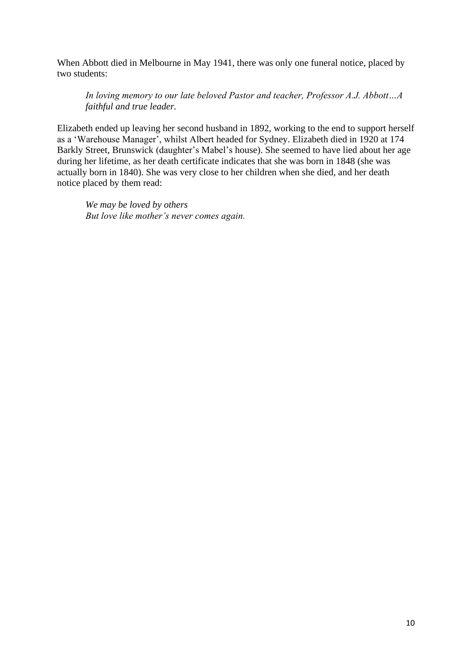When Abbott died in Melbourne in May 1941, there was only one funeral notice, placed by two students:

*In loving memory to our late beloved Pastor and teacher, Professor A.J. Abbott…A faithful and true leader.*

Elizabeth ended up leaving her second husband in 1892, working to the end to support herself as a 'Warehouse Manager', whilst Albert headed for Sydney. Elizabeth died in 1920 at 174 Barkly Street, Brunswick (daughter's Mabel's house). She seemed to have lied about her age during her lifetime, as her death certificate indicates that she was born in 1848 (she was actually born in 1840). She was very close to her children when she died, and her death notice placed by them read:

*We may be loved by others But love like mother's never comes again.*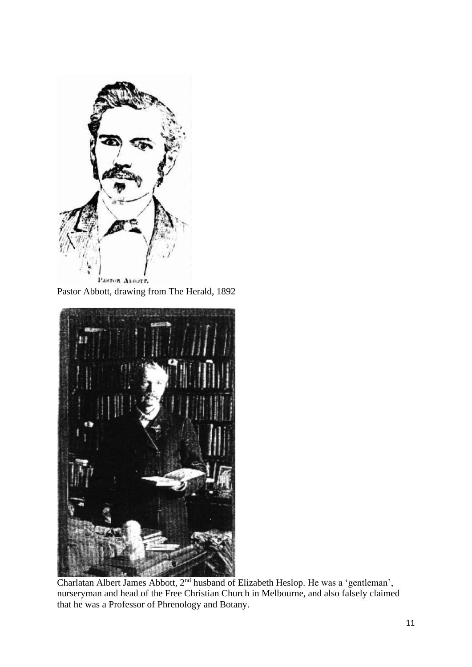

Pastor Abbott, drawing from The Herald, 1892



Charlatan Albert James Abbott, 2nd husband of Elizabeth Heslop. He was a 'gentleman', nurseryman and head of the Free Christian Church in Melbourne, and also falsely claimed that he was a Professor of Phrenology and Botany.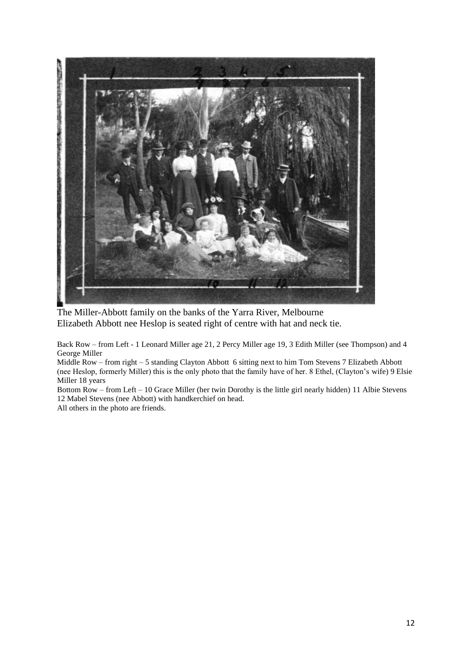

The Miller-Abbott family on the banks of the Yarra River, Melbourne Elizabeth Abbott nee Heslop is seated right of centre with hat and neck tie.

Back Row – from Left - 1 Leonard Miller age 21, 2 Percy Miller age 19, 3 Edith Miller (see Thompson) and 4 George Miller

Middle Row – from right – 5 standing Clayton Abbott 6 sitting next to him Tom Stevens 7 Elizabeth Abbott (nee Heslop, formerly Miller) this is the only photo that the family have of her. 8 Ethel, (Clayton's wife) 9 Elsie Miller 18 years

Bottom Row – from Left – 10 Grace Miller (her twin Dorothy is the little girl nearly hidden) 11 Albie Stevens 12 Mabel Stevens (nee Abbott) with handkerchief on head.

All others in the photo are friends.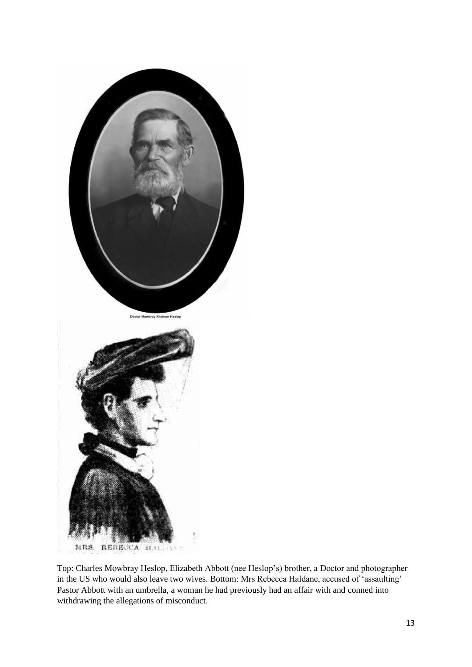

Top: Charles Mowbray Heslop, Elizabeth Abbott (nee Heslop's) brother, a Doctor and photographer in the US who would also leave two wives. Bottom: Mrs Rebecca Haldane, accused of 'assaulting' Pastor Abbott with an umbrella, a woman he had previously had an affair with and conned into withdrawing the allegations of misconduct.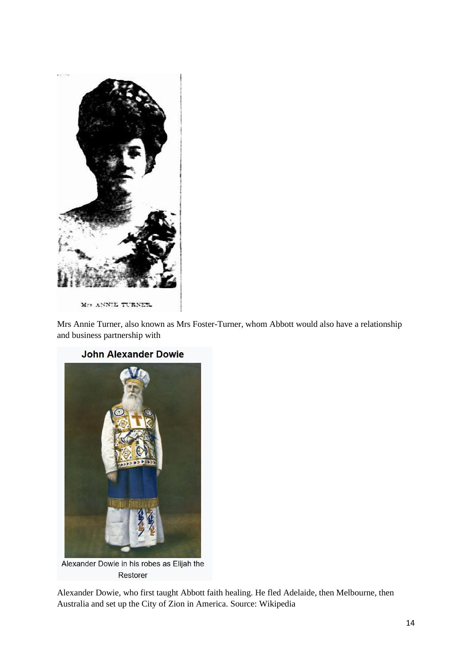

Mrs Annie Turner, also known as Mrs Foster-Turner, whom Abbott would also have a relationship and business partnership with



Alexander Dowie in his robes as Elijah the Restorer

Alexander Dowie, who first taught Abbott faith healing. He fled Adelaide, then Melbourne, then Australia and set up the City of Zion in America. Source: Wikipedia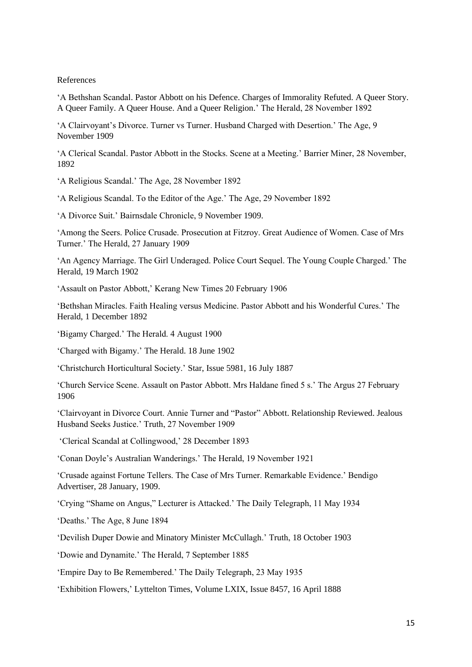References

'A Bethshan Scandal. Pastor Abbott on his Defence. Charges of Immorality Refuted. A Queer Story. A Queer Family. A Queer House. And a Queer Religion.' The Herald, 28 November 1892

'A Clairvoyant's Divorce. Turner vs Turner. Husband Charged with Desertion.' The Age, 9 November 1909

'A Clerical Scandal. Pastor Abbott in the Stocks. Scene at a Meeting.' Barrier Miner, 28 November, 1892

'A Religious Scandal.' The Age, 28 November 1892

'A Religious Scandal. To the Editor of the Age.' The Age, 29 November 1892

'A Divorce Suit.' Bairnsdale Chronicle, 9 November 1909.

'Among the Seers. Police Crusade. Prosecution at Fitzroy. Great Audience of Women. Case of Mrs Turner.' The Herald, 27 January 1909

'An Agency Marriage. The Girl Underaged. Police Court Sequel. The Young Couple Charged.' The Herald, 19 March 1902

'Assault on Pastor Abbott,' Kerang New Times 20 February 1906

'Bethshan Miracles. Faith Healing versus Medicine. Pastor Abbott and his Wonderful Cures.' The Herald, 1 December 1892

'Bigamy Charged.' The Herald. 4 August 1900

'Charged with Bigamy.' The Herald. 18 June 1902

'Christchurch Horticultural Society.' Star, Issue 5981, 16 July 1887

'Church Service Scene. Assault on Pastor Abbott. Mrs Haldane fined 5 s.' The Argus 27 February 1906

'Clairvoyant in Divorce Court. Annie Turner and "Pastor" Abbott. Relationship Reviewed. Jealous Husband Seeks Justice.' Truth, 27 November 1909

'Clerical Scandal at Collingwood,' 28 December 1893

'Conan Doyle's Australian Wanderings.' The Herald, 19 November 1921

'Crusade against Fortune Tellers. The Case of Mrs Turner. Remarkable Evidence.' Bendigo Advertiser, 28 January, 1909.

'Crying "Shame on Angus," Lecturer is Attacked.' The Daily Telegraph, 11 May 1934

'Deaths.' The Age, 8 June 1894

'Devilish Duper Dowie and Minatory Minister McCullagh.' Truth, 18 October 1903

'Dowie and Dynamite.' The Herald, 7 September 1885

'Empire Day to Be Remembered.' The Daily Telegraph, 23 May 1935

'Exhibition Flowers,' Lyttelton Times, Volume LXIX, Issue 8457, 16 April 1888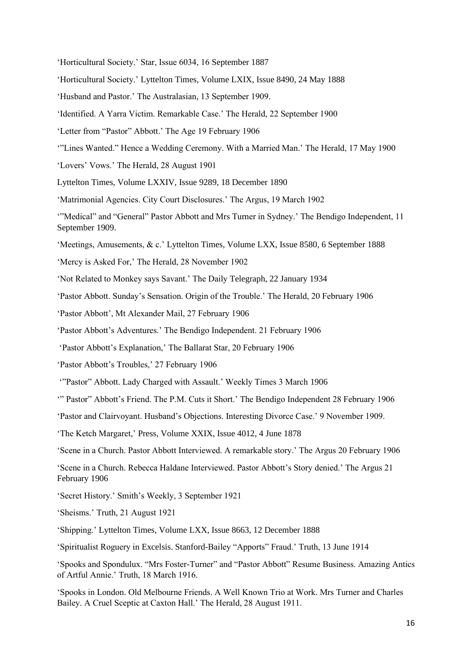- 'Horticultural Society.' Star, Issue 6034, 16 September 1887
- 'Horticultural Society.' Lyttelton Times, Volume LXIX, Issue 8490, 24 May 1888
- 'Husband and Pastor.' The Australasian, 13 September 1909.
- 'Identified. A Yarra Victim. Remarkable Case.' The Herald, 22 September 1900
- 'Letter from "Pastor" Abbott.' The Age 19 February 1906
- '"Lines Wanted." Hence a Wedding Ceremony. With a Married Man.' The Herald, 17 May 1900
- 'Lovers' Vows.' The Herald, 28 August 1901
- Lyttelton Times, Volume LXXIV, Issue 9289, 18 December 1890
- 'Matrimonial Agencies. City Court Disclosures.' The Argus, 19 March 1902
- '"Medical" and "General" Pastor Abbott and Mrs Turner in Sydney.' The Bendigo Independent, 11 September 1909.
- 'Meetings, Amusements, & c.' Lyttelton Times, Volume LXX, Issue 8580, 6 September 1888
- 'Mercy is Asked For,' The Herald, 28 November 1902
- 'Not Related to Monkey says Savant.' The Daily Telegraph, 22 January 1934
- 'Pastor Abbott. Sunday's Sensation. Origin of the Trouble.' The Herald, 20 February 1906
- 'Pastor Abbott', Mt Alexander Mail, 27 February 1906
- 'Pastor Abbott's Adventures.' The Bendigo Independent. 21 February 1906
- 'Pastor Abbott's Explanation,' The Ballarat Star, 20 February 1906
- 'Pastor Abbott's Troubles,' 27 February 1906
- '"Pastor" Abbott. Lady Charged with Assault.' Weekly Times 3 March 1906
- '" Pastor" Abbott's Friend. The P.M. Cuts it Short.' The Bendigo Independent 28 February 1906
- 'Pastor and Clairvoyant. Husband's Objections. Interesting Divorce Case.' 9 November 1909.
- 'The Ketch Margaret,' Press, Volume XXIX, Issue 4012, 4 June 1878
- 'Scene in a Church. Pastor Abbott Interviewed. A remarkable story.' The Argus 20 February 1906
- 'Scene in a Church. Rebecca Haldane Interviewed. Pastor Abbott's Story denied.' The Argus 21 February 1906
- 'Secret History.' Smith's Weekly, 3 September 1921
- 'Sheisms.' Truth, 21 August 1921
- 'Shipping.' Lyttelton Times, Volume LXX, Issue 8663, 12 December 1888
- 'Spiritualist Roguery in Excelsis. Stanford-Bailey "Apports" Fraud.' Truth, 13 June 1914
- 'Spooks and Spondulux. "Mrs Foster-Turner" and "Pastor Abbott" Resume Business. Amazing Antics of Artful Annie.' Truth, 18 March 1916.
- 'Spooks in London. Old Melbourne Friends. A Well Known Trio at Work. Mrs Turner and Charles Bailey. A Cruel Sceptic at Caxton Hall.' The Herald, 28 August 1911.